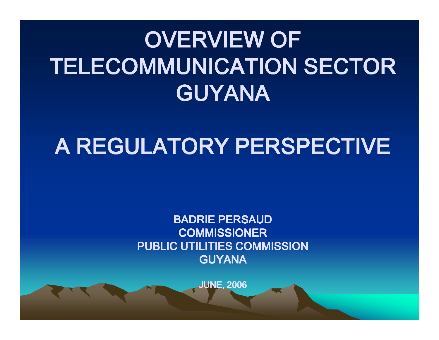# OVERVIEW OF TELECOMMUNICATION SECTOR GUYANA

## A REGULATORY PERSPECTIVE

BADRIE PERSAUD COMMISSIONER PUBLIC UTILITIES COMMISSIONGUYANA

JUNE, 2006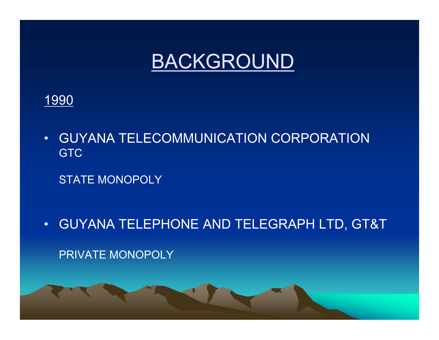

### 1990

- • GUYANA TELECOMMUNICATION CORPORATIONGTC
	- STATE MONOPOLY
- •GUYANA TELEPHONE AND TELEGRAPH LTD, GT&T

PRIVATE MONOPOLY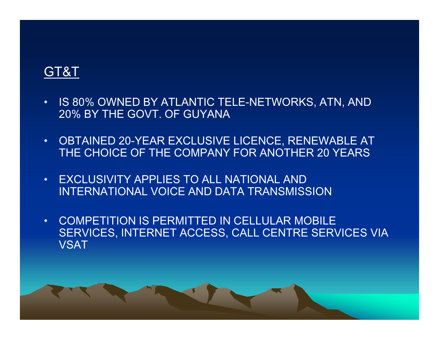### GT&T

- • IS 80% OWNED BY ATLANTIC TELE-NETWORKS, ATN, AND 20% BY THE GOVT. OF GUYANA
- $\bullet$  OBTAINED 20-YEAR EXCLUSIVE LICENCE, RENEWABLE AT THE CHOICE OF THE COMPANY FOR ANOTHER 20 YEARS
- • EXCLUSIVITY APPLIES TO ALL NATIONAL AND INTERNATIONAL VOICE AND DATA TRANSMISSION
- • COMPETITION IS PERMITTED IN CELLULAR MOBILE SERVICES, INTERNET ACCESS, CALL CENTRE SERVICES VIA**VSAT**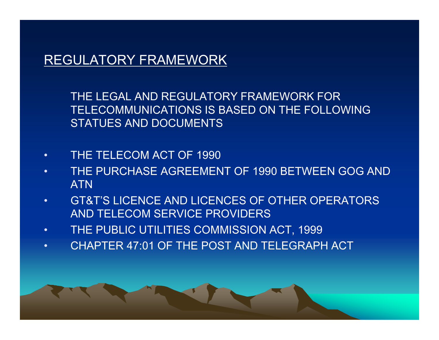### REGULATORY FRAMEWORK

THE LEGAL AND REGULATORY FRAMEWORK FOR TELECOMMUNICATIONS IS BASED ON THE FOLLOWING STATUES AND DOCUMENTS

- •THE TELECOM ACT OF 1990
- THE PURCHASE AGREEMENT OF 1990 BETWEEN GOG AND •ATN
- GT&T'S LICENCE AND LICENCES OF OTHER OPERATORS •AND TELECOM SERVICE PROVIDERS
- THE PUBLIC UTILITIES COMMISSION ACT, 1999•
- •CHAPTER 47:01 OF THE POST AND TELEGRAPH ACT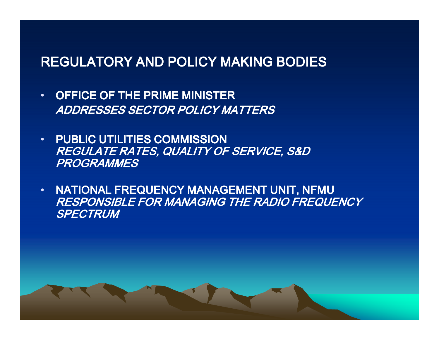### REGULATORY AND POLICY MAKING BODIES

- • OFFICE OF THE PRIME MINISTERADDRESSES SECTOR POLICY MATTERS
- • PUBLIC UTILITIES COMMISSION REGULATE RATES, QUALITY OF SERVICE, S&D PROGRAMMES
- $\bullet$  NATIONAL FREQUENCY MANAGEMENT UNIT, NFMU RESPONSIBLE FOR MANAGING THE RADIO FREQUENCY **SPECTRUM**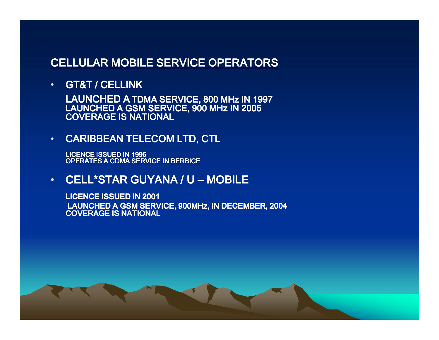### CELLULAR MOBILE SERVICE OPERATORS

•GT&T / CELLINK

LAUNCHED A TDMA SERVICE, 800 MHz IN 1997 LAUNCHED A GSM SERVICE, 900 MHz IN 2005 COVERAGE IS NATIONAL

#### •CARIBBEAN TELECOM LTD, CTL

LICENCE ISSUED IN 1996 OPERATES A CDMA SERVICE IN BERBICE

• $\textcolor{red}{\bullet}$  CELL\*STAR GUYANA / U – MOBILE

LICENCE ISSUED IN 2001 LAUNCHED A GSM SERVICE, 900MHz, IN DECEMBER, 2004COVERAGE IS NATIONAL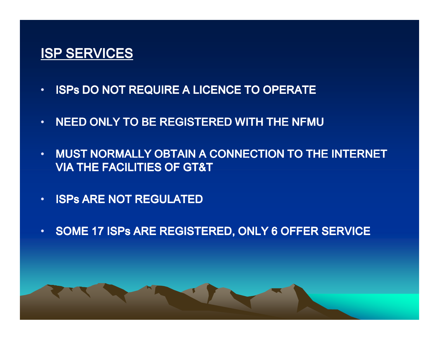### ISP SERVICES

- •ISPs DO NOT REQUIRE A LICENCE TO OPERATE
- •NEED ONLY TO BE REGISTERED WITH THE NFMU
- • MUST NORMALLY OBTAIN A CONNECTION TO THE INTERNET VIA THE FACILITIES OF GT&T
- •ISPs ARE NOT REGULATED
- •SOME 17 ISPs ARE REGISTERED, ONLY 6 OFFER SERVICE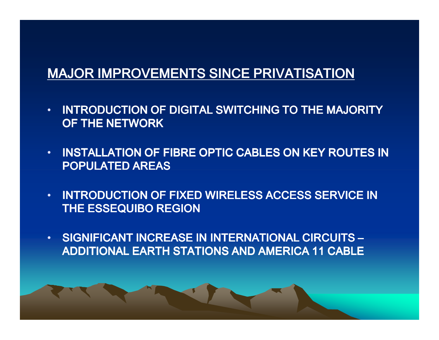### MAJOR IMPROVEMENTS SINCE PRIVATISATION

- • INTRODUCTION OF DIGITAL SWITCHING TO THE MAJORITY OF THE NETWORK
- • INSTALLATION OF FIBRE OPTIC CABLES ON KEY ROUTES INPOPULATED AREAS
- • INTRODUCTION OF FIXED WIRELESS ACCESS SERVICE IN THE ESSEQUIBO REGION
- • SIGNIFICANT INCREASE IN INTERNATIONAL CIRCUITS –ADDITIONAL EARTH STATIONS AND AMERICA 11 CABLE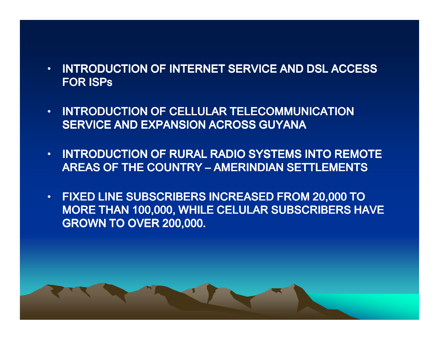- • INTRODUCTION OF INTERNET SERVICE AND DSL ACCESS FOR ISPs
- • INTRODUCTION OF CELLULAR TELECOMMUNICATION SERVICE AND EXPANSION ACROSS GUYANA
- • INTRODUCTION OF RURAL RADIO SYSTEMS INTO REMOTE AREAS OF THE COUNTRY – AMERINDIAN SETTLEMENTS
- • FIXED LINE SUBSCRIBERS INCREASED FROM 20,000 TO MORE THAN 100,000, WHILE CELULAR SUBSCRIBERS HAVE GROWN TO OVER 200,000.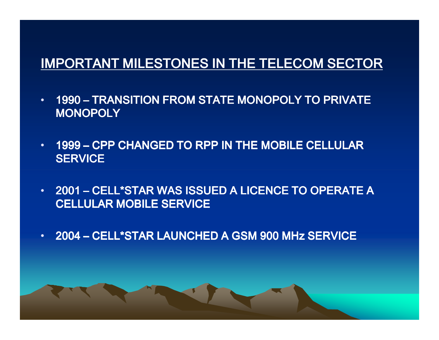## IMPORTANT MILESTONES IN THE TELECOM SECTOR

- •1990 – TRANSITION FROM STATE MONOPOLY TO PRIVATE **MONOPOLY**
- •1999 – CPP CHANGED TO RPP IN THE MOBILE CELLULAR **SERVICE**
- $\bm{\cdot}$  2001 CELL\*STAR WAS ISSUED A LICENCE TO OPERATE A CELLULAR MOBILE SERVICE
- •2004 – CELL\*STAR LAUNCHED A GSM 900 MHz SERVICE CELL\*STAR LAUNCHED A GSM 900 MHz SERVICE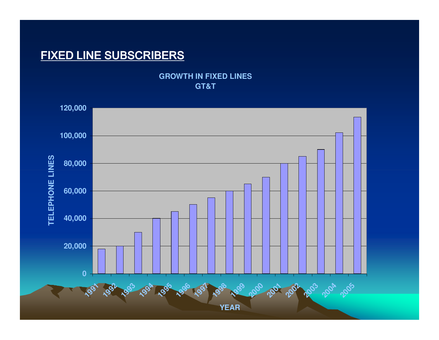### FIXED LINE SUBSCRIBERS

**GROWTH IN FIXED LINES GT&T**

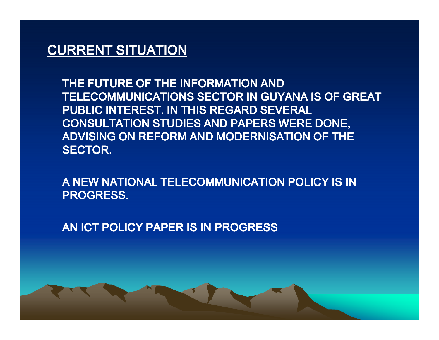### CURRENT SITUATION

THE FUTURE OF THE INFORMATION AND TELECOMMUNICATIONS SECTOR IN GUYANA IS OF GREAT PUBLIC INTEREST. IN THIS REGARD SEVERAL CONSULTATION STUDIES AND PAPERS WERE DONE, ADVISING ON REFORM AND MODERNISATION OF THE SECTOR.

A NEW NATIONAL TELECOMMUNICATION POLICY IS IN PROGRESS.

AN ICT POLICY PAPER IS IN PROGRESS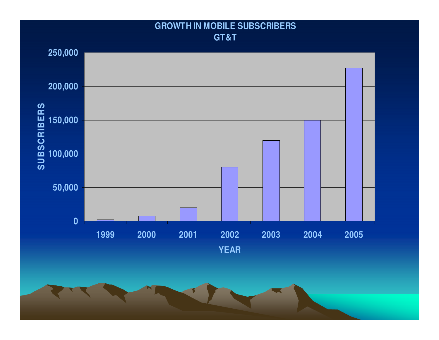### **GROWTH IN MOBILE SUBSCRIBERS GT&T**